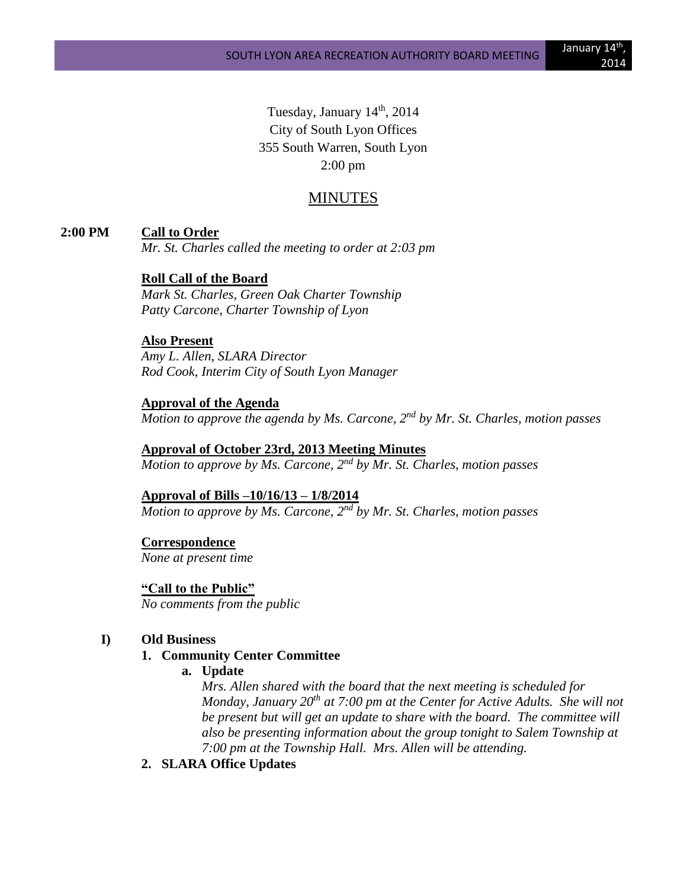Tuesday, January 14<sup>th</sup>, 2014 City of South Lyon Offices 355 South Warren, South Lyon 2:00 pm

## MINUTES

#### **2:00 PM Call to Order**

*Mr. St. Charles called the meeting to order at 2:03 pm*

## **Roll Call of the Board**

*Mark St. Charles, Green Oak Charter Township Patty Carcone, Charter Township of Lyon* 

## **Also Present**

*Amy L. Allen, SLARA Director Rod Cook, Interim City of South Lyon Manager*

## **Approval of the Agenda**

*Motion to approve the agenda by Ms. Carcone, 2nd by Mr. St. Charles, motion passes*

# **Approval of October 23rd, 2013 Meeting Minutes** *Motion to approve by Ms. Carcone, 2nd by Mr. St. Charles, motion passes*

## **Approval of Bills –10/16/13 – 1/8/2014**

*Motion to approve by Ms. Carcone, 2nd by Mr. St. Charles, motion passes*

## **Correspondence**

*None at present time*

**"Call to the Public"**

*No comments from the public*

#### **I) Old Business**

### **1. Community Center Committee**

**a. Update**

*Mrs. Allen shared with the board that the next meeting is scheduled for Monday, January 20th at 7:00 pm at the Center for Active Adults. She will not be present but will get an update to share with the board. The committee will also be presenting information about the group tonight to Salem Township at 7:00 pm at the Township Hall. Mrs. Allen will be attending.*

**2. SLARA Office Updates**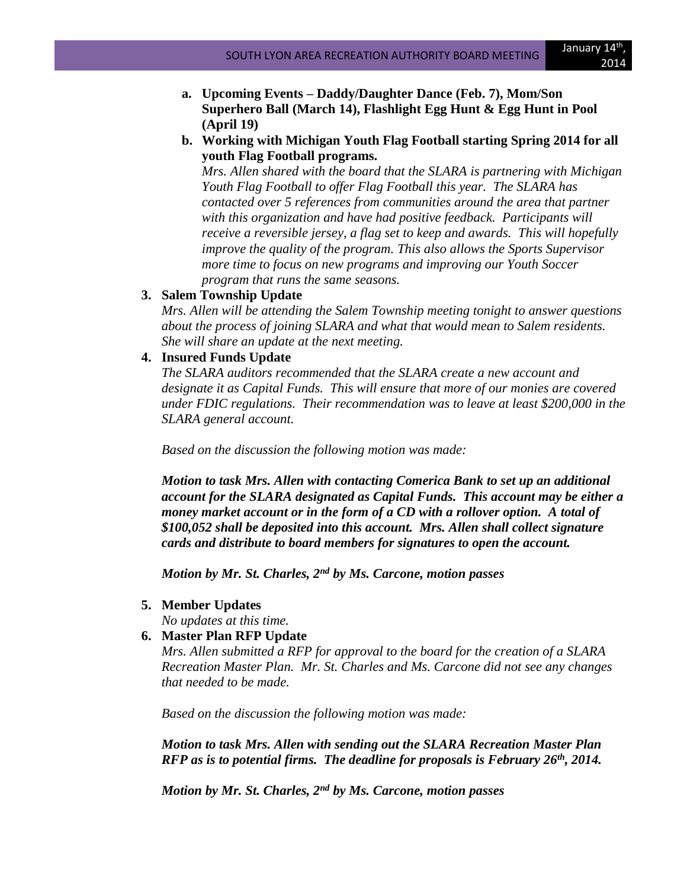- **a. Upcoming Events – Daddy/Daughter Dance (Feb. 7), Mom/Son Superhero Ball (March 14), Flashlight Egg Hunt & Egg Hunt in Pool (April 19)**
- **b. Working with Michigan Youth Flag Football starting Spring 2014 for all youth Flag Football programs.**

*Mrs. Allen shared with the board that the SLARA is partnering with Michigan Youth Flag Football to offer Flag Football this year. The SLARA has contacted over 5 references from communities around the area that partner with this organization and have had positive feedback. Participants will receive a reversible jersey, a flag set to keep and awards. This will hopefully improve the quality of the program. This also allows the Sports Supervisor more time to focus on new programs and improving our Youth Soccer program that runs the same seasons.*

## **3. Salem Township Update**

*Mrs. Allen will be attending the Salem Township meeting tonight to answer questions about the process of joining SLARA and what that would mean to Salem residents. She will share an update at the next meeting.*

## **4. Insured Funds Update**

*The SLARA auditors recommended that the SLARA create a new account and designate it as Capital Funds. This will ensure that more of our monies are covered under FDIC regulations. Their recommendation was to leave at least \$200,000 in the SLARA general account.*

*Based on the discussion the following motion was made:*

*Motion to task Mrs. Allen with contacting Comerica Bank to set up an additional account for the SLARA designated as Capital Funds. This account may be either a money market account or in the form of a CD with a rollover option. A total of \$100,052 shall be deposited into this account. Mrs. Allen shall collect signature cards and distribute to board members for signatures to open the account.*

*Motion by Mr. St. Charles, 2nd by Ms. Carcone, motion passes*

## **5. Member Updates**

*No updates at this time.*

## **6. Master Plan RFP Update**

*Mrs. Allen submitted a RFP for approval to the board for the creation of a SLARA Recreation Master Plan. Mr. St. Charles and Ms. Carcone did not see any changes that needed to be made.* 

*Based on the discussion the following motion was made:*

*Motion to task Mrs. Allen with sending out the SLARA Recreation Master Plan RFP as is to potential firms. The deadline for proposals is February 26th, 2014.*

*Motion by Mr. St. Charles, 2nd by Ms. Carcone, motion passes*